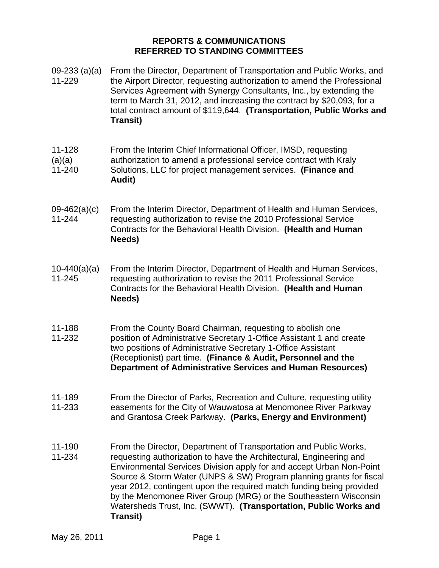## **REPORTS & COMMUNICATIONS REFERRED TO STANDING COMMITTEES**

May 26, 2011 **Page 1** 09-233 (a)(a) 11-229 From the Director, Department of Transportation and Public Works, and the Airport Director, requesting authorization to amend the Professional Services Agreement with Synergy Consultants, Inc., by extending the term to March 31, 2012, and increasing the contract by \$20,093, for a total contract amount of \$119,644. **(Transportation, Public Works and Transit)** 11-128  $(a)(a)$ 11-240 From the Interim Chief Informational Officer, IMSD, requesting authorization to amend a professional service contract with Kraly Solutions, LLC for project management services. **(Finance and Audit)** 09-462(a)(c) 11-244 From the Interim Director, Department of Health and Human Services, requesting authorization to revise the 2010 Professional Service Contracts for the Behavioral Health Division. **(Health and Human Needs)**  $10-440(a)(a)$ 11-245 From the Interim Director, Department of Health and Human Services, requesting authorization to revise the 2011 Professional Service Contracts for the Behavioral Health Division. **(Health and Human Needs)** 11-188 11-232 From the County Board Chairman, requesting to abolish one position of Administrative Secretary 1-Office Assistant 1 and create two positions of Administrative Secretary 1-Office Assistant (Receptionist) part time. **(Finance & Audit, Personnel and the Department of Administrative Services and Human Resources)** 11-189 11-233 From the Director of Parks, Recreation and Culture, requesting utility easements for the City of Wauwatosa at Menomonee River Parkway and Grantosa Creek Parkway. **(Parks, Energy and Environment)** 11-190 11-234 From the Director, Department of Transportation and Public Works, requesting authorization to have the Architectural, Engineering and Environmental Services Division apply for and accept Urban Non-Point Source & Storm Water (UNPS & SW) Program planning grants for fiscal year 2012, contingent upon the required match funding being provided by the Menomonee River Group (MRG) or the Southeastern Wisconsin Watersheds Trust, Inc. (SWWT). **(Transportation, Public Works and Transit)**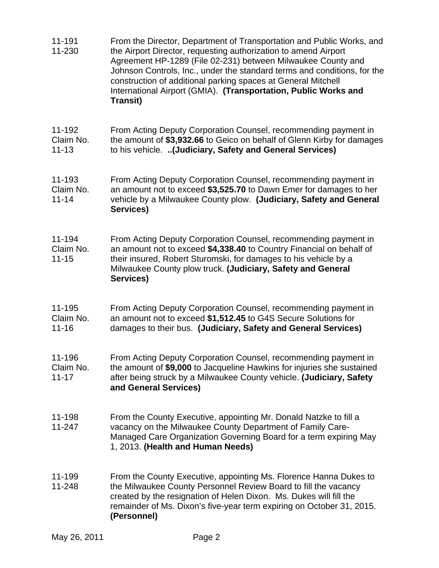| 11-191<br>11-230                 | From the Director, Department of Transportation and Public Works, and<br>the Airport Director, requesting authorization to amend Airport<br>Agreement HP-1289 (File 02-231) between Milwaukee County and<br>Johnson Controls, Inc., under the standard terms and conditions, for the<br>construction of additional parking spaces at General Mitchell<br>International Airport (GMIA). (Transportation, Public Works and<br><b>Transit)</b> |
|----------------------------------|---------------------------------------------------------------------------------------------------------------------------------------------------------------------------------------------------------------------------------------------------------------------------------------------------------------------------------------------------------------------------------------------------------------------------------------------|
| 11-192<br>Claim No.<br>$11 - 13$ | From Acting Deputy Corporation Counsel, recommending payment in<br>the amount of \$3,932.66 to Geico on behalf of Glenn Kirby for damages<br>to his vehicle. (Judiciary, Safety and General Services)                                                                                                                                                                                                                                       |
| 11-193<br>Claim No.<br>$11 - 14$ | From Acting Deputy Corporation Counsel, recommending payment in<br>an amount not to exceed \$3,525.70 to Dawn Emer for damages to her<br>vehicle by a Milwaukee County plow. (Judiciary, Safety and General<br>Services)                                                                                                                                                                                                                    |
| 11-194<br>Claim No.<br>$11 - 15$ | From Acting Deputy Corporation Counsel, recommending payment in<br>an amount not to exceed \$4,338.40 to Country Financial on behalf of<br>their insured, Robert Sturomski, for damages to his vehicle by a<br>Milwaukee County plow truck. (Judiciary, Safety and General<br>Services)                                                                                                                                                     |
| 11-195<br>Claim No.<br>$11 - 16$ | From Acting Deputy Corporation Counsel, recommending payment in<br>an amount not to exceed \$1,512.45 to G4S Secure Solutions for<br>damages to their bus. (Judiciary, Safety and General Services)                                                                                                                                                                                                                                         |
| 11-196<br>Claim No.<br>$11 - 17$ | From Acting Deputy Corporation Counsel, recommending payment in<br>the amount of \$9,000 to Jacqueline Hawkins for injuries she sustained<br>after being struck by a Milwaukee County vehicle. (Judiciary, Safety<br>and General Services)                                                                                                                                                                                                  |
| 11-198<br>11-247                 | From the County Executive, appointing Mr. Donald Natzke to fill a<br>vacancy on the Milwaukee County Department of Family Care-<br>Managed Care Organization Governing Board for a term expiring May<br>1, 2013. (Health and Human Needs)                                                                                                                                                                                                   |
| 11-199<br>11-248                 | From the County Executive, appointing Ms. Florence Hanna Dukes to<br>the Milwaukee County Personnel Review Board to fill the vacancy<br>created by the resignation of Helen Dixon. Ms. Dukes will fill the<br>remainder of Ms. Dixon's five-year term expiring on October 31, 2015.<br>(Personnel)                                                                                                                                          |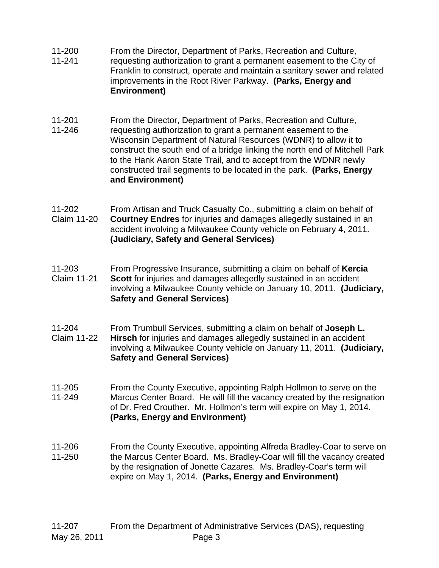- 11-200 11-241 From the Director, Department of Parks, Recreation and Culture, requesting authorization to grant a permanent easement to the City of Franklin to construct, operate and maintain a sanitary sewer and related improvements in the Root River Parkway. **(Parks, Energy and Environment)**
- 11-201 From the Director, Department of Parks, Recreation and Culture,
- 11-246 requesting authorization to grant a permanent easement to the Wisconsin Department of Natural Resources (WDNR) to allow it to construct the south end of a bridge linking the north end of Mitchell Park to the Hank Aaron State Trail, and to accept from the WDNR newly constructed trail segments to be located in the park. **(Parks, Energy and Environment)**
- 11-202 Claim 11-20 From Artisan and Truck Casualty Co., submitting a claim on behalf of **Courtney Endres** for injuries and damages allegedly sustained in an accident involving a Milwaukee County vehicle on February 4, 2011. **(Judiciary, Safety and General Services)**
- 11-203 Claim 11-21 From Progressive Insurance, submitting a claim on behalf of **Kercia Scott** for injuries and damages allegedly sustained in an accident involving a Milwaukee County vehicle on January 10, 2011. **(Judiciary, Safety and General Services)**
- 11-204 Claim 11-22 From Trumbull Services, submitting a claim on behalf of **Joseph L. Hirsch** for injuries and damages allegedly sustained in an accident involving a Milwaukee County vehicle on January 11, 2011. **(Judiciary, Safety and General Services)**
- 11-205 11-249 From the County Executive, appointing Ralph Hollmon to serve on the Marcus Center Board. He will fill the vacancy created by the resignation of Dr. Fred Crouther. Mr. Hollmon's term will expire on May 1, 2014. **(Parks, Energy and Environment)**
- 11-206 11-250 From the County Executive, appointing Alfreda Bradley-Coar to serve on the Marcus Center Board. Ms. Bradley-Coar will fill the vacancy created by the resignation of Jonette Cazares. Ms. Bradley-Coar's term will expire on May 1, 2014. **(Parks, Energy and Environment)**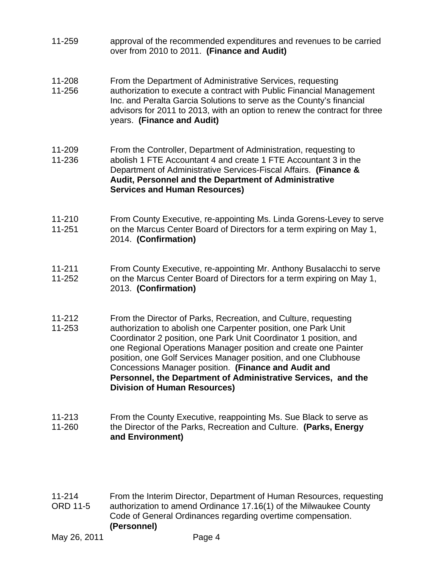- 11-259 approval of the recommended expenditures and revenues to be carried over from 2010 to 2011. **(Finance and Audit)**
- 11-208 From the Department of Administrative Services, requesting
- 11-256 authorization to execute a contract with Public Financial Management Inc. and Peralta Garcia Solutions to serve as the County's financial advisors for 2011 to 2013, with an option to renew the contract for three years. **(Finance and Audit)**
- 11-209 From the Controller, Department of Administration, requesting to
- 11-236 abolish 1 FTE Accountant 4 and create 1 FTE Accountant 3 in the Department of Administrative Services-Fiscal Affairs. **(Finance & Audit, Personnel and the Department of Administrative Services and Human Resources)**
- 11-210 11-251 From County Executive, re-appointing Ms. Linda Gorens-Levey to serve on the Marcus Center Board of Directors for a term expiring on May 1, 2014. **(Confirmation)**
- 11-211 11-252 From County Executive, re-appointing Mr. Anthony Busalacchi to serve on the Marcus Center Board of Directors for a term expiring on May 1, 2013. **(Confirmation)**
- 11-212 From the Director of Parks, Recreation, and Culture, requesting
- 11-253 authorization to abolish one Carpenter position, one Park Unit Coordinator 2 position, one Park Unit Coordinator 1 position, and one Regional Operations Manager position and create one Painter position, one Golf Services Manager position, and one Clubhouse Concessions Manager position. **(Finance and Audit and Personnel, the Department of Administrative Services, and the Division of Human Resources)**
- 11-213 11-260 From the County Executive, reappointing Ms. Sue Black to serve as the Director of the Parks, Recreation and Culture. **(Parks, Energy and Environment)**
- 11-214 ORD 11-5 From the Interim Director, Department of Human Resources, requesting authorization to amend Ordinance 17.16(1) of the Milwaukee County Code of General Ordinances regarding overtime compensation. **(Personnel)**